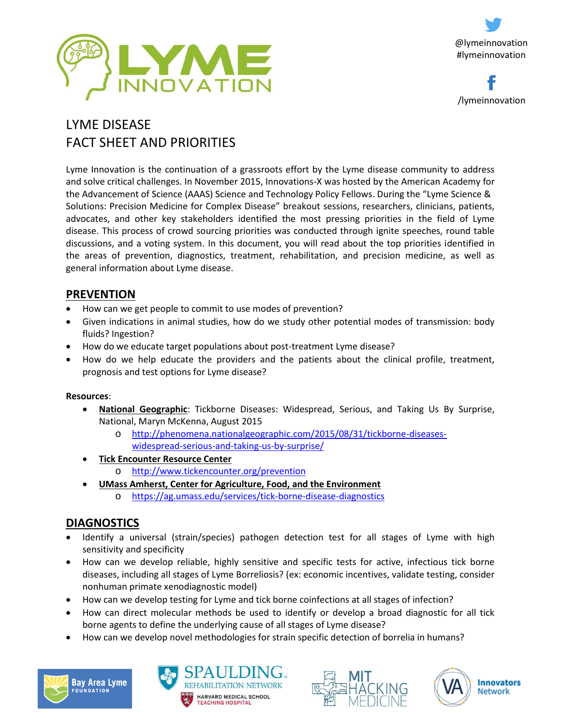



# LYME DISEASE FACT SHEET AND PRIORITIES

Lyme Innovation is the continuation of a grassroots effort by the Lyme disease community to address and solve critical challenges. In November 2015, Innovations-X was hosted by the American Academy for the Advancement of Science (AAAS) Science and Technology Policy Fellows. During the "Lyme Science & Solutions: Precision Medicine for Complex Disease" breakout sessions, researchers, clinicians, patients, advocates, and other key stakeholders identified the most pressing priorities in the field of Lyme disease. This process of crowd sourcing priorities was conducted through ignite speeches, round table discussions, and a voting system. In this document, you will read about the top priorities identified in the areas of prevention, diagnostics, treatment, rehabilitation, and precision medicine, as well as general information about Lyme disease.

# **PREVENTION**

- How can we get people to commit to use modes of prevention?
- Given indications in animal studies, how do we study other potential modes of transmission: body fluids? Ingestion?
- How do we educate target populations about post-treatment Lyme disease?
- How do we help educate the providers and the patients about the clinical profile, treatment, prognosis and test options for Lyme disease?

### **Resources**:

- **National Geographic**: Tickborne Diseases: Widespread, Serious, and Taking Us By Surprise, National, Maryn McKenna, August 2015
	- o [http://phenomena.nationalgeographic.com/2015/08/31/tickborne-diseases](http://phenomena.nationalgeographic.com/2015/08/31/tickborne-diseases-widespread-serious-and-taking-us-by-surprise/)[widespread-serious-and-taking-us-by-surprise/](http://phenomena.nationalgeographic.com/2015/08/31/tickborne-diseases-widespread-serious-and-taking-us-by-surprise/)
- **Tick Encounter Resource Center**
	- o <http://www.tickencounter.org/prevention>
- **UMass Amherst, Center for Agriculture, Food, and the Environment** 
	- o <https://ag.umass.edu/services/tick-borne-disease-diagnostics>

# **DIAGNOSTICS**

- Identify a universal (strain/species) pathogen detection test for all stages of Lyme with high sensitivity and specificity
- How can we develop reliable, highly sensitive and specific tests for active, infectious tick borne diseases, including all stages of Lyme Borreliosis? (ex: economic incentives, validate testing, consider nonhuman primate xenodiagnostic model)
- How can we develop testing for Lyme and tick borne coinfections at all stages of infection?
- How can direct molecular methods be used to identify or develop a broad diagnostic for all tick borne agents to define the underlying cause of all stages of Lyme disease?
- How can we develop novel methodologies for strain specific detection of borrelia in humans?







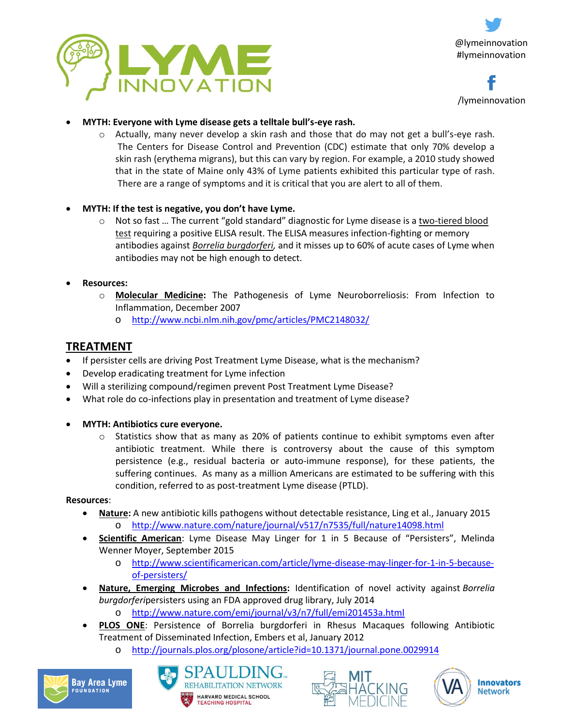



- **MYTH: Everyone with Lyme disease gets a telltale bull's-eye rash.**
	- Actually, many never develop a skin rash and those that do may not get a bull's-eye rash. The Centers for Disease Control and Prevention (CDC) estimate that only 70% develop a skin rash (erythema migrans), but this can vary by region. For example, a 2010 study showed that in the state of Maine only 43% of Lyme patients exhibited this particular type of rash. There are a range of symptoms and it is critical that you are alert to all of them.
- **MYTH: If the test is negative, you don't have Lyme.**
	- Not so fast ... The current "gold standard" diagnostic for Lyme disease is a two-tiered blood [test](http://wiredimpactdev.com/bayarealyme/get-help/lyme-testing/) requiring a positive ELISA result. The ELISA measures infection-fighting or memory antibodies against *[Borrelia burgdorferi,](http://wiredimpactdev.com/bayarealyme/about-lyme/what-causes-lyme-disease/borrelia-burgdorferi/)* and it misses up to 60% of acute cases of Lyme when antibodies may not be high enough to detect.
- **Resources:**
	- o **Molecular Medicine:** The Pathogenesis of Lyme Neuroborreliosis: From Infection to Inflammation, December 2007
		- o <http://www.ncbi.nlm.nih.gov/pmc/articles/PMC2148032/>

# **TREATMENT**

- If persister cells are driving Post Treatment Lyme Disease, what is the mechanism?
- Develop eradicating treatment for Lyme infection
- Will a sterilizing compound/regimen prevent Post Treatment Lyme Disease?
- What role do co-infections play in presentation and treatment of Lyme disease?
- **MYTH: Antibiotics cure everyone.**
	- Statistics show that as many as 20% of patients continue to exhibit symptoms even after antibiotic treatment. While there is controversy about the cause of this symptom persistence (e.g., residual bacteria or auto-immune response), for these patients, the suffering continues. As many as a million Americans are estimated to be suffering with this condition, referred to as post-treatment Lyme disease (PTLD).

**Resources**:

- **Nature:** A new antibiotic kills pathogens without detectable resistance, Ling et al., January 2015 o <http://www.nature.com/nature/journal/v517/n7535/full/nature14098.html>
- **Scientific American**: Lyme Disease May Linger for 1 in 5 Because of "Persisters", Melinda Wenner Moyer, September 2015
	- o [http://www.scientificamerican.com/article/lyme-disease-may-linger-for-1-in-5-because](http://www.scientificamerican.com/article/lyme-disease-may-linger-for-1-in-5-because-of-persisters/)[of-persisters/](http://www.scientificamerican.com/article/lyme-disease-may-linger-for-1-in-5-because-of-persisters/)
- **Nature, Emerging Microbes and Infections:** Identification of novel activity against *Borrelia burgdorferi*persisters using an FDA approved drug library, July 2014
	- o <http://www.nature.com/emi/journal/v3/n7/full/emi201453a.html>
- **PLOS ONE**: Persistence of Borrelia burgdorferi in Rhesus Macaques following Antibiotic Treatment of Disseminated Infection, Embers et al, January 2012
	- o <http://journals.plos.org/plosone/article?id=10.1371/journal.pone.0029914>







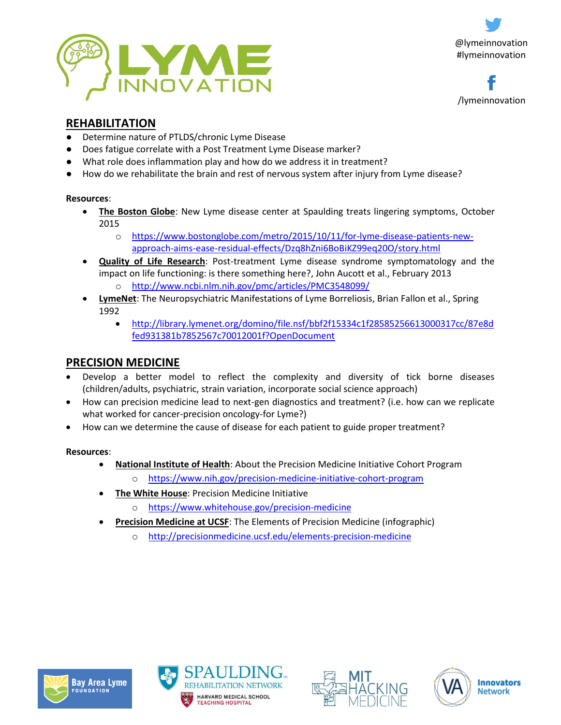



# **REHABILITATION**

- Determine nature of PTLDS/chronic Lyme Disease
- Does fatigue correlate with a Post Treatment Lyme Disease marker?
- What role does inflammation play and how do we address it in treatment?
- How do we rehabilitate the brain and rest of nervous system after injury from Lyme disease?

#### **Resources**:

- **The Boston Globe**: New Lyme disease center at Spaulding treats lingering symptoms, October 2015
	- o [https://www.bostonglobe.com/metro/2015/10/11/for-lyme-disease-patients-new](https://www.bostonglobe.com/metro/2015/10/11/for-lyme-disease-patients-new-approach-aims-ease-residual-effects/Dzq8hZni6BoBiKZ99eq20O/story.html)[approach-aims-ease-residual-effects/Dzq8hZni6BoBiKZ99eq20O/story.html](https://www.bostonglobe.com/metro/2015/10/11/for-lyme-disease-patients-new-approach-aims-ease-residual-effects/Dzq8hZni6BoBiKZ99eq20O/story.html)
- **Quality of Life Research**: Post-treatment Lyme disease syndrome symptomatology and the impact on life functioning: is there something here?, John Aucott et al., February 2013 o <http://www.ncbi.nlm.nih.gov/pmc/articles/PMC3548099/>
- **LymeNet**: The Neuropsychiatric Manifestations of Lyme Borreliosis, Brian Fallon et al., Spring 1992
	- [http://library.lymenet.org/domino/file.nsf/bbf2f15334c1f28585256613000317cc/87e8d](http://library.lymenet.org/domino/file.nsf/bbf2f15334c1f28585256613000317cc/87e8dfed931381b7852567c70012001f?OpenDocument) [fed931381b7852567c70012001f?OpenDocument](http://library.lymenet.org/domino/file.nsf/bbf2f15334c1f28585256613000317cc/87e8dfed931381b7852567c70012001f?OpenDocument)

## **PRECISION MEDICINE**

- Develop a better model to reflect the complexity and diversity of tick borne diseases (children/adults, psychiatric, strain variation, incorporate social science approach)
- How can precision medicine lead to next-gen diagnostics and treatment? (i.e. how can we replicate what worked for cancer-precision oncology-for Lyme?)
- How can we determine the cause of disease for each patient to guide proper treatment?

#### **Resources**:

- **National Institute of Health**: About the Precision Medicine Initiative Cohort Program
	- o <https://www.nih.gov/precision-medicine-initiative-cohort-program>
- **The White House**: Precision Medicine Initiative
	- o <https://www.whitehouse.gov/precision-medicine>
- **Precision Medicine at UCSF**: The Elements of Precision Medicine (infographic)
	- o <http://precisionmedicine.ucsf.edu/elements-precision-medicine>







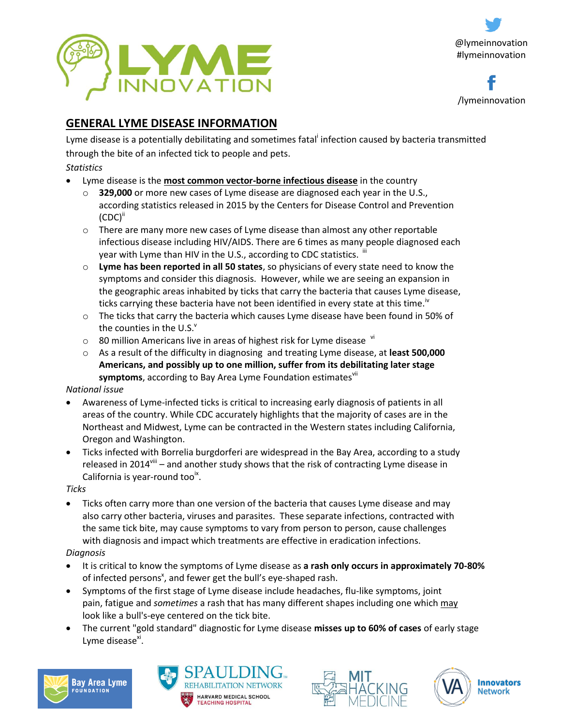



# **GENERAL LYME DISEASE INFORMATION**

Lyme disease is a potentially debilitating and sometimes fatal<sup>i</sup> infection caused by bacteria transmitted through the bite of an infected tick to people and pets.

### *Statistics*

- Lyme disease is the **most common vector-borne infectious disease** in the country
	- o **329,000** or more new cases of Lyme disease are diagnosed each year in the U.S., according statistics released in 2015 by the Centers for Disease Control and Prevention  $(CDC)^{ii}$
	- $\circ$  There are many more new cases of Lyme disease than almost any other reportable infectious disease including HIV/AIDS. There are 6 times as many people diagnosed each year with Lyme than HIV in the U.S., according to CDC statistics.  $^{\text{III}}$
	- o **Lyme has been reported in all 50 states**, so physicians of every state need to know the symptoms and consider this diagnosis. However, while we are seeing an expansion in the geographic areas inhabited by ticks that carry the bacteria that causes Lyme disease, ticks carrying these bacteria have not been identified in every state at this time.<sup>iv</sup>
	- $\circ$  The ticks that carry the bacteria which causes Lyme disease have been found in 50% of the counties in the U.S. $V$
	- $\circ$  80 million Americans live in areas of highest risk for Lyme disease  $\mathrm{v}$
	- o As a result of the difficulty in diagnosing and treating Lyme disease, at **least 500,000 Americans, and possibly up to one million, suffer from its debilitating later stage**  symptoms, according to Bay Area Lyme Foundation estimates<sup>vii</sup>

### *National issue*

- Awareness of Lyme-infected ticks is critical to increasing early diagnosis of patients in all areas of the country. While CDC accurately highlights that the majority of cases are in the Northeast and Midwest, Lyme can be contracted in the Western states including California, Oregon and Washington.
- Ticks infected with Borrelia burgdorferi are widespread in the Bay Area, according to a study released in 2014<sup>viii</sup> – and another study shows that the risk of contracting Lyme disease in California is year-round too<sup>ix</sup>.

#### *Ticks*

 Ticks often carry more than one version of the bacteria that causes Lyme disease and may also carry other bacteria, viruses and parasites. These separate infections, contracted with the same tick bite, may cause symptoms to vary from person to person, cause challenges with diagnosis and impact which treatments are effective in eradication infections.

### *Diagnosis*

- It is critical to know the symptoms of Lyme disease as **a rash only occurs in approximately 70-80%** of infected persons<sup>x</sup>, and fewer get the bull's eye-shaped rash.
- Symptoms of the first stage of Lyme disease include headaches, flu-like symptoms, joint pain, fatigue and *sometimes* a rash that has many different shapes including one which may look like a bull's-eye centered on the tick bite.
- The current "gold standard" diagnostic for Lyme disease **misses up to 60% of cases** of early stage Lyme disease<sup>xi</sup>.